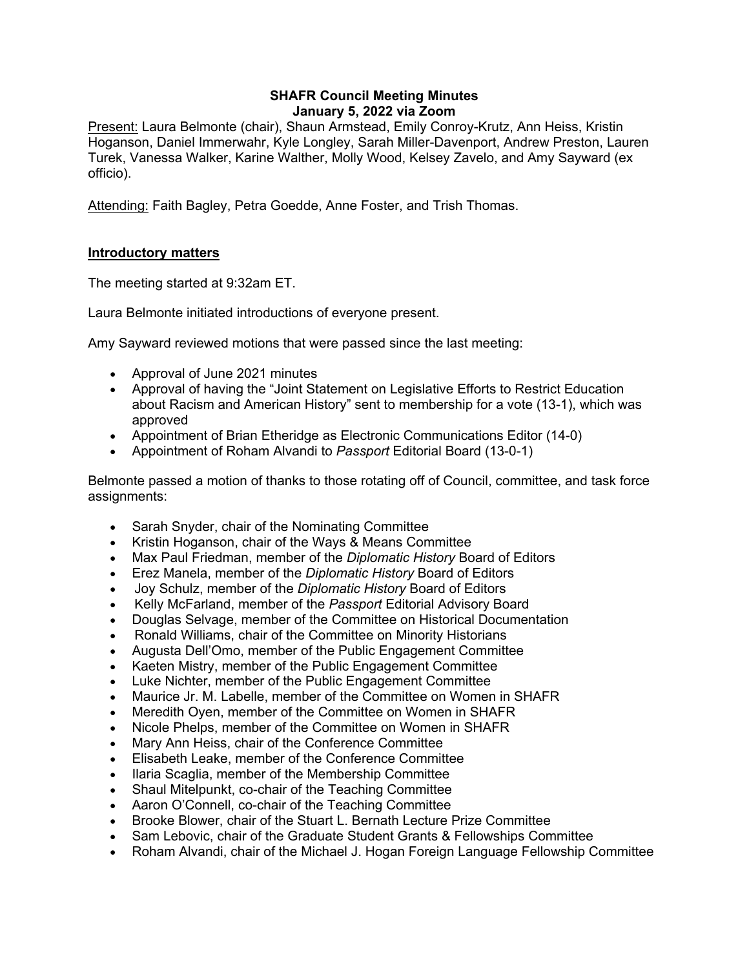### **SHAFR Council Meeting Minutes January 5, 2022 via Zoom**

Present: Laura Belmonte (chair), Shaun Armstead, Emily Conroy-Krutz, Ann Heiss, Kristin Hoganson, Daniel Immerwahr, Kyle Longley, Sarah Miller-Davenport, Andrew Preston, Lauren Turek, Vanessa Walker, Karine Walther, Molly Wood, Kelsey Zavelo, and Amy Sayward (ex officio).

Attending: Faith Bagley, Petra Goedde, Anne Foster, and Trish Thomas.

## **Introductory matters**

The meeting started at 9:32am ET.

Laura Belmonte initiated introductions of everyone present.

Amy Sayward reviewed motions that were passed since the last meeting:

- Approval of June 2021 minutes
- Approval of having the "Joint Statement on Legislative Efforts to Restrict Education about Racism and American History" sent to membership for a vote (13-1), which was approved
- Appointment of Brian Etheridge as Electronic Communications Editor (14-0)
- Appointment of Roham Alvandi to *Passport* Editorial Board (13-0-1)

Belmonte passed a motion of thanks to those rotating off of Council, committee, and task force assignments:

- Sarah Snyder, chair of the Nominating Committee
- Kristin Hoganson, chair of the Ways & Means Committee
- Max Paul Friedman, member of the *Diplomatic History* Board of Editors
- Erez Manela, member of the *Diplomatic History* Board of Editors
- Joy Schulz, member of the *Diplomatic History* Board of Editors
- Kelly McFarland, member of the *Passport* Editorial Advisory Board
- Douglas Selvage, member of the Committee on Historical Documentation
- Ronald Williams, chair of the Committee on Minority Historians
- Augusta Dell'Omo, member of the Public Engagement Committee
- Kaeten Mistry, member of the Public Engagement Committee
- Luke Nichter, member of the Public Engagement Committee
- Maurice Jr. M. Labelle, member of the Committee on Women in SHAFR
- Meredith Oyen, member of the Committee on Women in SHAFR
- Nicole Phelps, member of the Committee on Women in SHAFR
- Mary Ann Heiss, chair of the Conference Committee
- Elisabeth Leake, member of the Conference Committee
- Ilaria Scaglia, member of the Membership Committee
- Shaul Mitelpunkt, co-chair of the Teaching Committee
- Aaron O'Connell, co-chair of the Teaching Committee
- Brooke Blower, chair of the Stuart L. Bernath Lecture Prize Committee
- Sam Lebovic, chair of the Graduate Student Grants & Fellowships Committee
- Roham Alvandi, chair of the Michael J. Hogan Foreign Language Fellowship Committee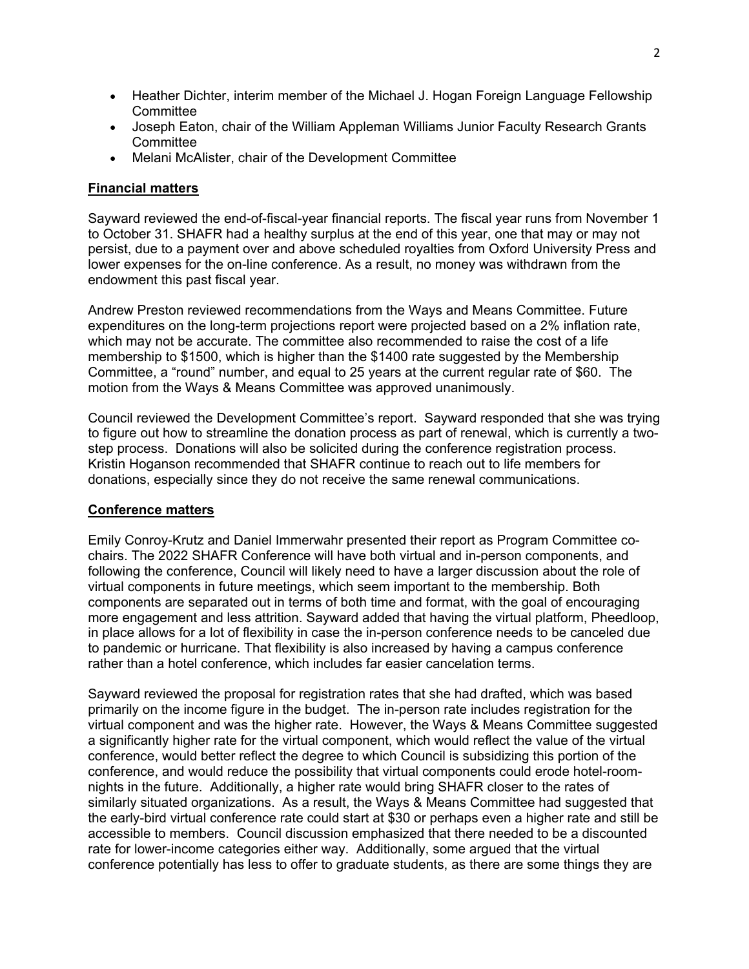- Heather Dichter, interim member of the Michael J. Hogan Foreign Language Fellowship **Committee**
- Joseph Eaton, chair of the William Appleman Williams Junior Faculty Research Grants **Committee**
- Melani McAlister, chair of the Development Committee

# **Financial matters**

Sayward reviewed the end-of-fiscal-year financial reports. The fiscal year runs from November 1 to October 31. SHAFR had a healthy surplus at the end of this year, one that may or may not persist, due to a payment over and above scheduled royalties from Oxford University Press and lower expenses for the on-line conference. As a result, no money was withdrawn from the endowment this past fiscal year.

Andrew Preston reviewed recommendations from the Ways and Means Committee. Future expenditures on the long-term projections report were projected based on a 2% inflation rate, which may not be accurate. The committee also recommended to raise the cost of a life membership to \$1500, which is higher than the \$1400 rate suggested by the Membership Committee, a "round" number, and equal to 25 years at the current regular rate of \$60. The motion from the Ways & Means Committee was approved unanimously.

Council reviewed the Development Committee's report. Sayward responded that she was trying to figure out how to streamline the donation process as part of renewal, which is currently a twostep process. Donations will also be solicited during the conference registration process. Kristin Hoganson recommended that SHAFR continue to reach out to life members for donations, especially since they do not receive the same renewal communications.

## **Conference matters**

Emily Conroy-Krutz and Daniel Immerwahr presented their report as Program Committee cochairs. The 2022 SHAFR Conference will have both virtual and in-person components, and following the conference, Council will likely need to have a larger discussion about the role of virtual components in future meetings, which seem important to the membership. Both components are separated out in terms of both time and format, with the goal of encouraging more engagement and less attrition. Sayward added that having the virtual platform, Pheedloop, in place allows for a lot of flexibility in case the in-person conference needs to be canceled due to pandemic or hurricane. That flexibility is also increased by having a campus conference rather than a hotel conference, which includes far easier cancelation terms.

Sayward reviewed the proposal for registration rates that she had drafted, which was based primarily on the income figure in the budget. The in-person rate includes registration for the virtual component and was the higher rate. However, the Ways & Means Committee suggested a significantly higher rate for the virtual component, which would reflect the value of the virtual conference, would better reflect the degree to which Council is subsidizing this portion of the conference, and would reduce the possibility that virtual components could erode hotel-roomnights in the future. Additionally, a higher rate would bring SHAFR closer to the rates of similarly situated organizations. As a result, the Ways & Means Committee had suggested that the early-bird virtual conference rate could start at \$30 or perhaps even a higher rate and still be accessible to members. Council discussion emphasized that there needed to be a discounted rate for lower-income categories either way. Additionally, some argued that the virtual conference potentially has less to offer to graduate students, as there are some things they are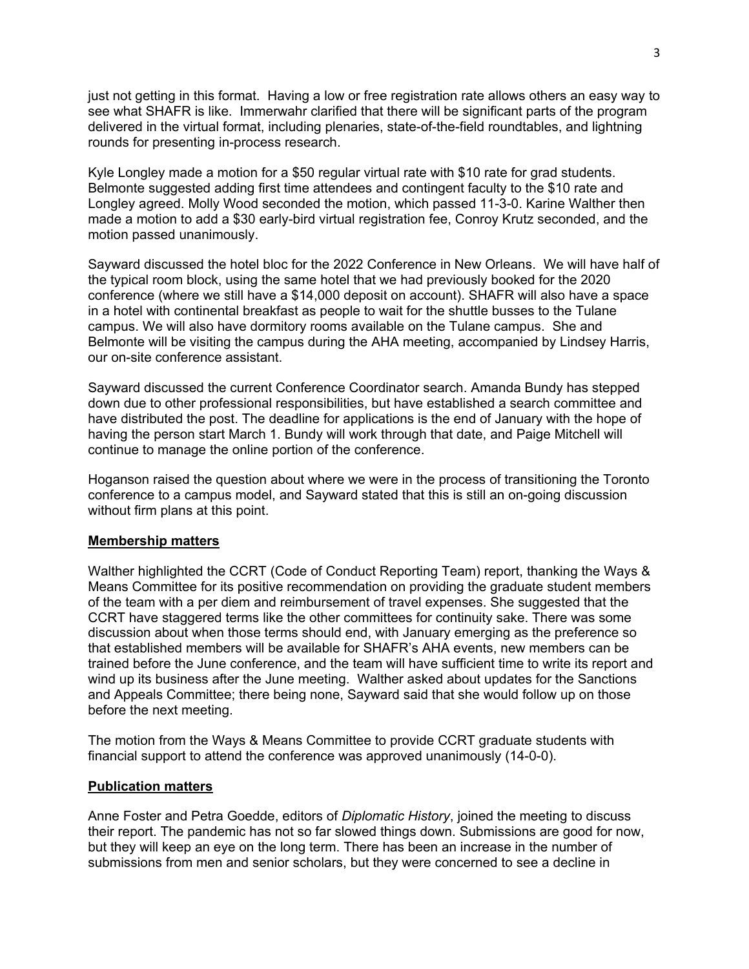just not getting in this format. Having a low or free registration rate allows others an easy way to see what SHAFR is like. Immerwahr clarified that there will be significant parts of the program delivered in the virtual format, including plenaries, state-of-the-field roundtables, and lightning rounds for presenting in-process research.

Kyle Longley made a motion for a \$50 regular virtual rate with \$10 rate for grad students. Belmonte suggested adding first time attendees and contingent faculty to the \$10 rate and Longley agreed. Molly Wood seconded the motion, which passed 11-3-0. Karine Walther then made a motion to add a \$30 early-bird virtual registration fee, Conroy Krutz seconded, and the motion passed unanimously.

Sayward discussed the hotel bloc for the 2022 Conference in New Orleans. We will have half of the typical room block, using the same hotel that we had previously booked for the 2020 conference (where we still have a \$14,000 deposit on account). SHAFR will also have a space in a hotel with continental breakfast as people to wait for the shuttle busses to the Tulane campus. We will also have dormitory rooms available on the Tulane campus. She and Belmonte will be visiting the campus during the AHA meeting, accompanied by Lindsey Harris, our on-site conference assistant.

Sayward discussed the current Conference Coordinator search. Amanda Bundy has stepped down due to other professional responsibilities, but have established a search committee and have distributed the post. The deadline for applications is the end of January with the hope of having the person start March 1. Bundy will work through that date, and Paige Mitchell will continue to manage the online portion of the conference.

Hoganson raised the question about where we were in the process of transitioning the Toronto conference to a campus model, and Sayward stated that this is still an on-going discussion without firm plans at this point.

#### **Membership matters**

Walther highlighted the CCRT (Code of Conduct Reporting Team) report, thanking the Ways & Means Committee for its positive recommendation on providing the graduate student members of the team with a per diem and reimbursement of travel expenses. She suggested that the CCRT have staggered terms like the other committees for continuity sake. There was some discussion about when those terms should end, with January emerging as the preference so that established members will be available for SHAFR's AHA events, new members can be trained before the June conference, and the team will have sufficient time to write its report and wind up its business after the June meeting. Walther asked about updates for the Sanctions and Appeals Committee; there being none, Sayward said that she would follow up on those before the next meeting.

The motion from the Ways & Means Committee to provide CCRT graduate students with financial support to attend the conference was approved unanimously (14-0-0).

### **Publication matters**

Anne Foster and Petra Goedde, editors of *Diplomatic History*, joined the meeting to discuss their report. The pandemic has not so far slowed things down. Submissions are good for now, but they will keep an eye on the long term. There has been an increase in the number of submissions from men and senior scholars, but they were concerned to see a decline in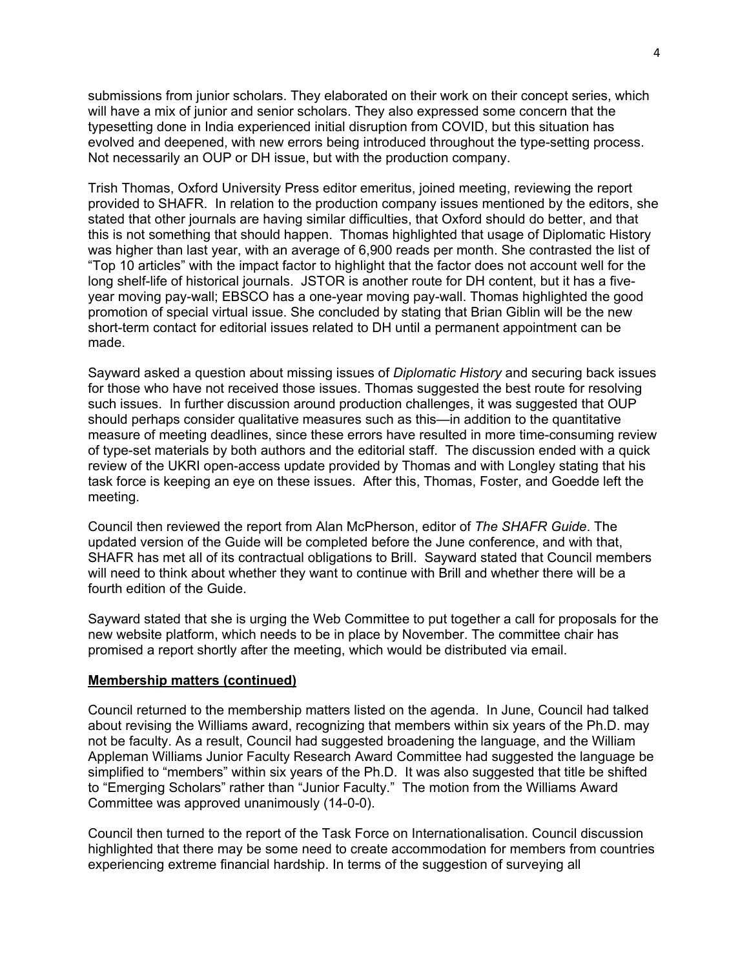submissions from junior scholars. They elaborated on their work on their concept series, which will have a mix of junior and senior scholars. They also expressed some concern that the typesetting done in India experienced initial disruption from COVID, but this situation has evolved and deepened, with new errors being introduced throughout the type-setting process. Not necessarily an OUP or DH issue, but with the production company.

Trish Thomas, Oxford University Press editor emeritus, joined meeting, reviewing the report provided to SHAFR. In relation to the production company issues mentioned by the editors, she stated that other journals are having similar difficulties, that Oxford should do better, and that this is not something that should happen. Thomas highlighted that usage of Diplomatic History was higher than last year, with an average of 6,900 reads per month. She contrasted the list of "Top 10 articles" with the impact factor to highlight that the factor does not account well for the long shelf-life of historical journals. JSTOR is another route for DH content, but it has a fiveyear moving pay-wall; EBSCO has a one-year moving pay-wall. Thomas highlighted the good promotion of special virtual issue. She concluded by stating that Brian Giblin will be the new short-term contact for editorial issues related to DH until a permanent appointment can be made.

Sayward asked a question about missing issues of *Diplomatic History* and securing back issues for those who have not received those issues. Thomas suggested the best route for resolving such issues. In further discussion around production challenges, it was suggested that OUP should perhaps consider qualitative measures such as this—in addition to the quantitative measure of meeting deadlines, since these errors have resulted in more time-consuming review of type-set materials by both authors and the editorial staff. The discussion ended with a quick review of the UKRI open-access update provided by Thomas and with Longley stating that his task force is keeping an eye on these issues. After this, Thomas, Foster, and Goedde left the meeting.

Council then reviewed the report from Alan McPherson, editor of *The SHAFR Guide*. The updated version of the Guide will be completed before the June conference, and with that, SHAFR has met all of its contractual obligations to Brill. Sayward stated that Council members will need to think about whether they want to continue with Brill and whether there will be a fourth edition of the Guide.

Sayward stated that she is urging the Web Committee to put together a call for proposals for the new website platform, which needs to be in place by November. The committee chair has promised a report shortly after the meeting, which would be distributed via email.

#### **Membership matters (continued)**

Council returned to the membership matters listed on the agenda. In June, Council had talked about revising the Williams award, recognizing that members within six years of the Ph.D. may not be faculty. As a result, Council had suggested broadening the language, and the William Appleman Williams Junior Faculty Research Award Committee had suggested the language be simplified to "members" within six years of the Ph.D. It was also suggested that title be shifted to "Emerging Scholars" rather than "Junior Faculty." The motion from the Williams Award Committee was approved unanimously (14-0-0).

Council then turned to the report of the Task Force on Internationalisation. Council discussion highlighted that there may be some need to create accommodation for members from countries experiencing extreme financial hardship. In terms of the suggestion of surveying all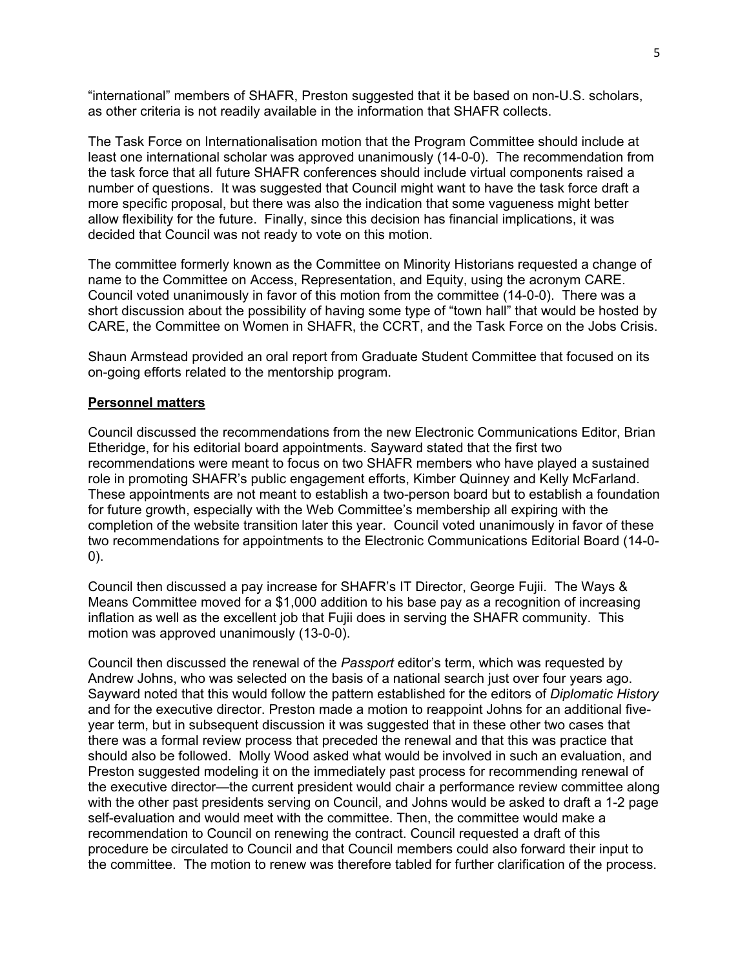"international" members of SHAFR, Preston suggested that it be based on non-U.S. scholars, as other criteria is not readily available in the information that SHAFR collects.

The Task Force on Internationalisation motion that the Program Committee should include at least one international scholar was approved unanimously (14-0-0). The recommendation from the task force that all future SHAFR conferences should include virtual components raised a number of questions. It was suggested that Council might want to have the task force draft a more specific proposal, but there was also the indication that some vagueness might better allow flexibility for the future. Finally, since this decision has financial implications, it was decided that Council was not ready to vote on this motion.

The committee formerly known as the Committee on Minority Historians requested a change of name to the Committee on Access, Representation, and Equity, using the acronym CARE. Council voted unanimously in favor of this motion from the committee (14-0-0). There was a short discussion about the possibility of having some type of "town hall" that would be hosted by CARE, the Committee on Women in SHAFR, the CCRT, and the Task Force on the Jobs Crisis.

Shaun Armstead provided an oral report from Graduate Student Committee that focused on its on-going efforts related to the mentorship program.

### **Personnel matters**

Council discussed the recommendations from the new Electronic Communications Editor, Brian Etheridge, for his editorial board appointments. Sayward stated that the first two recommendations were meant to focus on two SHAFR members who have played a sustained role in promoting SHAFR's public engagement efforts, Kimber Quinney and Kelly McFarland. These appointments are not meant to establish a two-person board but to establish a foundation for future growth, especially with the Web Committee's membership all expiring with the completion of the website transition later this year. Council voted unanimously in favor of these two recommendations for appointments to the Electronic Communications Editorial Board (14-0- 0).

Council then discussed a pay increase for SHAFR's IT Director, George Fujii. The Ways & Means Committee moved for a \$1,000 addition to his base pay as a recognition of increasing inflation as well as the excellent job that Fujii does in serving the SHAFR community. This motion was approved unanimously (13-0-0).

Council then discussed the renewal of the *Passport* editor's term, which was requested by Andrew Johns, who was selected on the basis of a national search just over four years ago. Sayward noted that this would follow the pattern established for the editors of *Diplomatic History* and for the executive director. Preston made a motion to reappoint Johns for an additional fiveyear term, but in subsequent discussion it was suggested that in these other two cases that there was a formal review process that preceded the renewal and that this was practice that should also be followed. Molly Wood asked what would be involved in such an evaluation, and Preston suggested modeling it on the immediately past process for recommending renewal of the executive director—the current president would chair a performance review committee along with the other past presidents serving on Council, and Johns would be asked to draft a 1-2 page self-evaluation and would meet with the committee. Then, the committee would make a recommendation to Council on renewing the contract. Council requested a draft of this procedure be circulated to Council and that Council members could also forward their input to the committee. The motion to renew was therefore tabled for further clarification of the process.